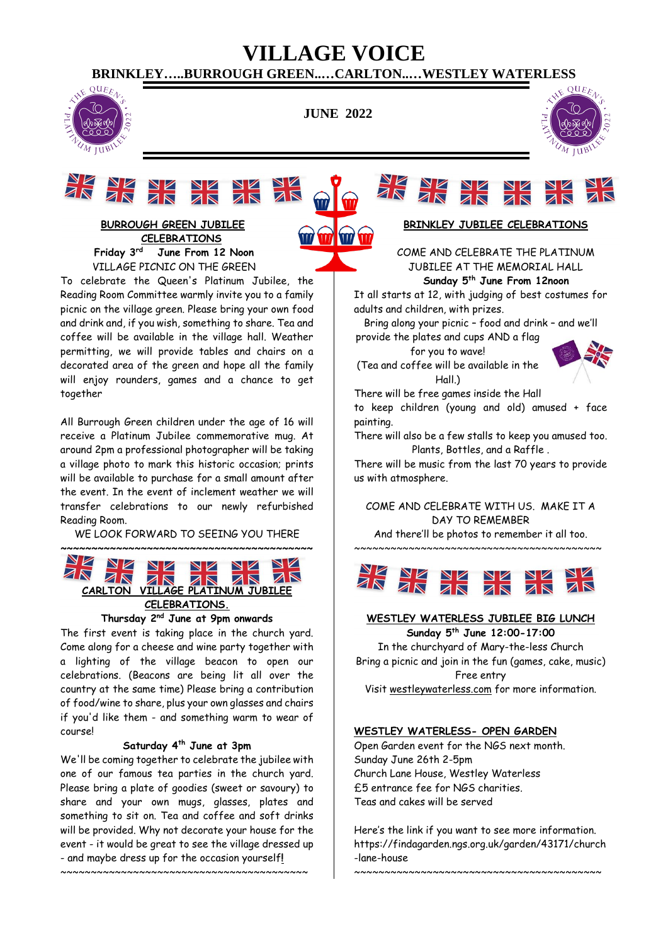# **VILLAGE VOICE**

**BRINKLEY…..BURROUGH GREEN..…CARLTON..…WESTLEY WATERLESS**



**JUNE 2022**





**BURROUGH GREEN JUBILEE CELEBRATIONS Friday 3rd June From 12 Noon** VILLAGE PICNIC ON THE GREEN

To celebrate the Queen's Platinum Jubilee, the Reading Room Committee warmly invite you to a family picnic on the village green. Please bring your own food and drink and, if you wish, something to share. Tea and coffee will be available in the village hall. Weather permitting, we will provide tables and chairs on a decorated area of the green and hope all the family will enjoy rounders, games and a chance to get together

All Burrough Green children under the age of 16 will receive a Platinum Jubilee commemorative mug. At around 2pm a professional photographer will be taking a village photo to mark this historic occasion; prints will be available to purchase for a small amount after the event. In the event of inclement weather we will transfer celebrations to our newly refurbished Reading Room.

WE LOOK FORWARD TO SEEING YOU THERE



The first event is taking place in the church yard. Come along for a cheese and wine party together with a lighting of the village beacon to open our celebrations. (Beacons are being lit all over the country at the same time) Please bring a contribution of food/wine to share, plus your own glasses and chairs if you'd like them - and something warm to wear of course!

# **Saturday 4th June at 3pm**

We'll be coming together to celebrate the jubilee with one of our famous tea parties in the church yard. Please bring a plate of goodies (sweet or savoury) to share and your own mugs, glasses, plates and something to sit on. Tea and coffee and soft drinks will be provided. Why not decorate your house for the event - it would be great to see the village dressed up - and maybe dress up for the occasion yourself**!**

~~~~~~~~~~~~~~~~~~~~~~~~~~~~~~~~~~~~~~~~~

# **BRINKLEY JUBILEE CELEBRATIONS**

COME AND CELEBRATE THE PLATINUM JUBILEE AT THE MEMORIAL HALL

 **Sunday 5th June From 12noon**

It all starts at 12, with judging of best costumes for adults and children, with prizes.

Bring along your picnic – food and drink – and we'll

provide the plates and cups AND a flag for you to wave!

(Tea and coffee will be available in the Hall.)



There will be free games inside the Hall

to keep children (young and old) amused + face painting.

There will also be a few stalls to keep you amused too. Plants, Bottles, and a Raffle .

There will be music from the last 70 years to provide us with atmosphere.

COME AND CELEBRATE WITH US. MAKE IT A DAY TO REMEMBER

And there'll be photos to remember it all too. ~~~~~~~~~~~~~~~~~~~~~~~~~~~~~~~~~~~~~~~~~



### **WESTLEY WATERLESS JUBILEE BIG LUNCH Sunday 5th June 12:00-17:00**

In the churchyard of Mary-the-less Church Bring a picnic and join in the fun (games, cake, music) Free entry Visit [westleywaterless.com](http://westleywaterless.com/) for more information.

# **WESTLEY WATERLESS- OPEN GARDEN**

Open Garden event for the NGS next month. Sunday June 26th 2-5pm Church Lane House, Westley Waterless £5 entrance fee for NGS charities. Teas and cakes will be served

Here's the link if you want to see more information. https://findagarden.ngs.org.uk/garden/43171/church -lane-house

~~~~~~~~~~~~~~~~~~~~~~~~~~~~~~~~~~~~~~~~~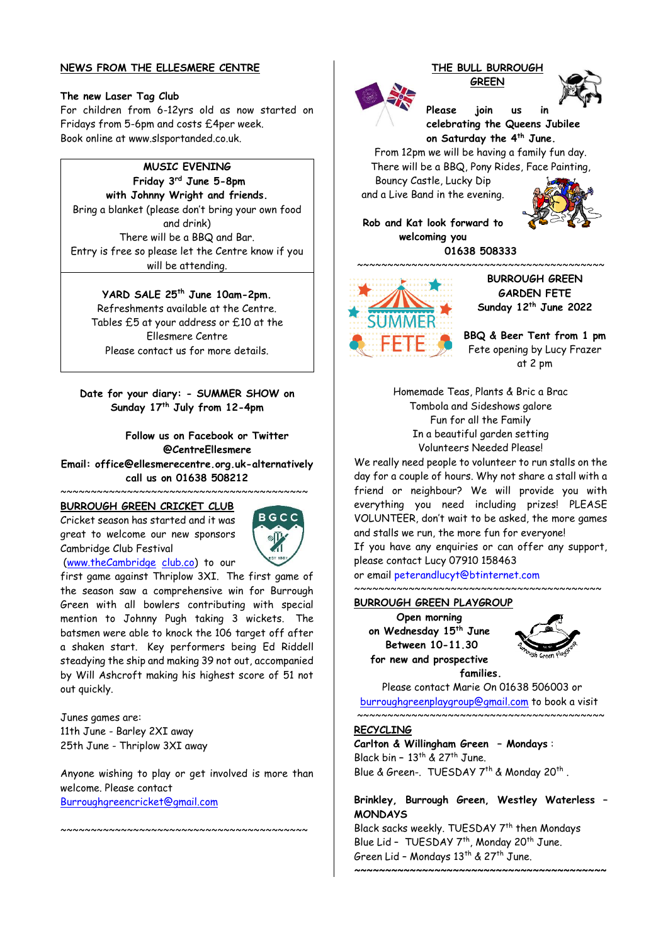# **NEWS FROM THE ELLESMERE CENTRE**

### **The new Laser Tag Club**

For children from 6-12yrs old as now started on Fridays from 5-6pm and costs £4per week. Book online at www.slsportanded.co.uk.

# **MUSIC EVENING**

**Friday 3rd June 5-8pm with Johnny Wright and friends.** Bring a blanket (please don't bring your own food and drink) There will be a BBQ and Bar. Entry is free so please let the Centre know if you will be attending.

**YARD SALE 25th June 10am-2pm.** Refreshments available at the Centre. Tables £5 at your address or £10 at the Ellesmere Centre Please contact us for more details.

**Date for your diary: - SUMMER SHOW on Sunday 17th July from 12-4pm**

**Follow us on Facebook or Twitter @CentreEllesmere**

**Email: office@ellesmerecentre.org.uk-alternatively call us on 01638 508212**

#### ~~~~~~~~~~~~~~~~~~~~~~ **BURROUGH GREEN CRICKET CLUB**

Cricket season has started and it was great to welcome our new sponsors Cambridge Club Festival



[\(www.theCambridge](http://www.thecambridge/) [club.co\)](http://club.co/) to our

first game against Thriplow 3XI. The first game of the season saw a comprehensive win for Burrough Green with all bowlers contributing with special mention to Johnny Pugh taking 3 wickets. The batsmen were able to knock the 106 target off after a shaken start. Key performers being Ed Riddell steadying the ship and making 39 not out, accompanied by Will Ashcroft making his highest score of 51 not out quickly.

Junes games are: 11th June - Barley 2XI away 25th June - Thriplow 3XI away

Anyone wishing to play or get involved is more than welcome. Please contact [Burroughgreencricket@gmail.com](mailto:Burroughgreencricket@gmail.com)

~~~~~~~~~~~~~~~~~~~~~~~~~~~~~~~~~~~~~~~~~

#### **THE BULL BURROUGH GREEN**





**Please join us in celebrating the Queens Jubilee on Saturday the 4th June.**

From 12pm we will be having a family fun day. There will be a BBQ, Pony Rides, Face Painting,

Bouncy Castle, Lucky Dip and a Live Band in the evening.



**Rob and Kat look forward to welcoming you 01638 508333**



**BURROUGH GREEN GARDEN FETE Sunday 12th June 2022**

**BBQ & Beer Tent from 1 pm** Fete opening by Lucy Frazer at 2 pm

Homemade Teas, Plants & Bric a Brac Tombola and Sideshows galore Fun for all the Family In a beautiful garden setting Volunteers Needed Please!

We really need people to volunteer to run stalls on the day for a couple of hours. Why not share a stall with a friend or neighbour? We will provide you with everything you need including prizes! PLEASE VOLUNTEER, don't wait to be asked, the more games and stalls we run, the more fun for everyone! If you have any enquiries or can offer any support, please contact Lucy 07910 158463

or email [peterandlucyt@btinternet.com](mailto:peterandlucyt@btinternet.com)  $~\sim~\sim~\sim~\sim~\sim~\sim~\sim~\sim~\sim~\sim$ 

#### **BURROUGH GREEN PLAYGROUP**

**Open morning on Wednesday 15th June Between 10-11.30 for new and prospective** 



**families.**

Please contact Marie On 01638 506003 or [burroughgreenplaygroup@gmail.com](mailto:burroughgreenplaygroup@gmail.com) to book a visit  $~\sim~$ 

#### **RECYCLING**

**Carlton & Willingham Green – Mondays** : Black bin **–** 13th & 27th June. Blue & Green-. TUESDAY 7<sup>th</sup> & Monday 20<sup>th</sup>.

# **Brinkley, Burrough Green, Westley Waterless – MONDAYS**

Black sacks weekly. TUESDAY 7<sup>th</sup> then Mondays Blue Lid - TUESDAY 7<sup>th</sup>, Monday 20<sup>th</sup> June. Green Lid – Mondays 13th & 27th June.

**~~~~~~~~~~~~~~~~~~~~~~~~~~~~~~~~~~~~~~~~~**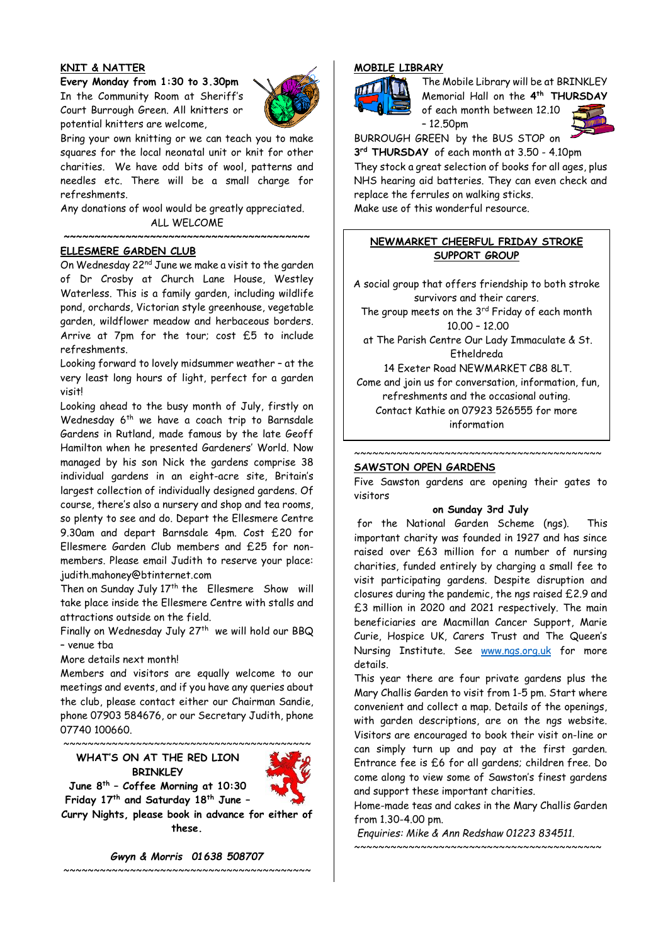# **KNIT & NATTER**

**Every Monday from 1:30 to 3.30pm** In the Community Room at Sheriff's Court Burrough Green. All knitters or potential knitters are welcome,



Bring your own knitting or we can teach you to make squares for the local neonatal unit or knit for other charities. We have odd bits of wool, patterns and needles etc. There will be a small charge for refreshments.

Any donations of wool would be greatly appreciated. ALL WELCOME

**~~~~~~~~~~~~~~~~~~~~~~~~~~~~~~~~~~~~~~~~**

# **ELLESMERE GARDEN CLUB**

On Wednesday  $22^{nd}$  June we make a visit to the garden of Dr Crosby at Church Lane House, Westley Waterless. This is a family garden, including wildlife pond, orchards, Victorian style greenhouse, vegetable garden, wildflower meadow and herbaceous borders. Arrive at 7pm for the tour; cost £5 to include refreshments.

Looking forward to lovely midsummer weather – at the very least long hours of light, perfect for a garden visit!

Looking ahead to the busy month of July, firstly on Wednesday  $6<sup>th</sup>$  we have a coach trip to Barnsdale Gardens in Rutland, made famous by the late Geoff Hamilton when he presented Gardeners' World. Now managed by his son Nick the gardens comprise 38 individual gardens in an eight-acre site, Britain's largest collection of individually designed gardens. Of course, there's also a nursery and shop and tea rooms, so plenty to see and do. Depart the Ellesmere Centre 9.30am and depart Barnsdale 4pm. Cost £20 for Ellesmere Garden Club members and £25 for nonmembers. Please email Judith to reserve your place: judith.mahoney@btinternet.com

Then on Sunday July 17<sup>th</sup> the Ellesmere Show will take place inside the Ellesmere Centre with stalls and attractions outside on the field.

Finally on Wednesday July  $27<sup>th</sup>$  we will hold our BBQ – venue tba

More details next month!

Members and visitors are equally welcome to our meetings and events, and if you have any queries about the club, please contact either our Chairman Sandie, phone 07903 584676, or our Secretary Judith, phone 07740 100660.

**WHAT'S ON AT THE RED LION BRINKLEY**

~~~~~~~~~~~~~~~~~~~~~~~~~~~~~~~~~~~~~~~~~

**June 8th – Coffee Morning at 10:30 Friday 17th and Saturday 18th June –**

**Curry Nights, please book in advance for either of these.**

*Gwyn & Morris 01638 508707*

~~~~~~~~~~~~~~~~~~~~~~~~~~~~~~~~~~~~~~~~~

# **MOBILE LIBRARY**



The Mobile Library will be at BRINKLEY Memorial Hall on the **4 th THURSDAY** of each month between 12.10  $-12.50<sub>pm</sub>$ 



BURROUGH GREEN by the BUS STOP on **3 rd THURSDAY** of each month at 3.50 - 4.10pm They stock a great selection of books for all ages, plus NHS hearing aid batteries. They can even check and

replace the ferrules on walking sticks. Make use of this wonderful resource.

# **NEWMARKET CHEERFUL FRIDAY STROKE SUPPORT GROUP**

A social group that offers friendship to both stroke survivors and their carers.

The group meets on the  $3<sup>rd</sup>$  Friday of each month 10.00 – 12.00

at The Parish Centre Our Lady Immaculate & St. Etheldreda

14 Exeter Road NEWMARKET CB8 8LT. Come and join us for conversation, information, fun, refreshments and the occasional outing. Contact Kathie on 07923 526555 for more information

#### **SAWSTON OPEN GARDENS**

Five Sawston gardens are opening their gates to visitors

~~~~~~~~~~~~~~~~~~~~~~~~~~~~~~~~~~~~~~~~~

#### **on Sunday 3rd July**

for the National Garden Scheme (ngs). This important charity was founded in 1927 and has since raised over £63 million for a number of nursing charities, funded entirely by charging a small fee to visit participating gardens. Despite disruption and closures during the pandemic, the ngs raised £2.9 and £3 million in 2020 and 2021 respectively. The main beneficiaries are Macmillan Cancer Support, Marie Curie, Hospice UK, Carers Trust and The Queen's Nursing Institute. See [www.ngs.org.uk](http://www.ngs.org.uk/) for more details.

This year there are four private gardens plus the Mary Challis Garden to visit from 1-5 pm. Start where convenient and collect a map. Details of the openings, with garden descriptions, are on the ngs website. Visitors are encouraged to book their visit on-line or can simply turn up and pay at the first garden. Entrance fee is £6 for all gardens; children free. Do come along to view some of Sawston's finest gardens and support these important charities.

Home-made teas and cakes in the Mary Challis Garden from 1.30-4.00 pm.

 $~\sim~$ 

*Enquiries: Mike & Ann Redshaw 01223 834511.*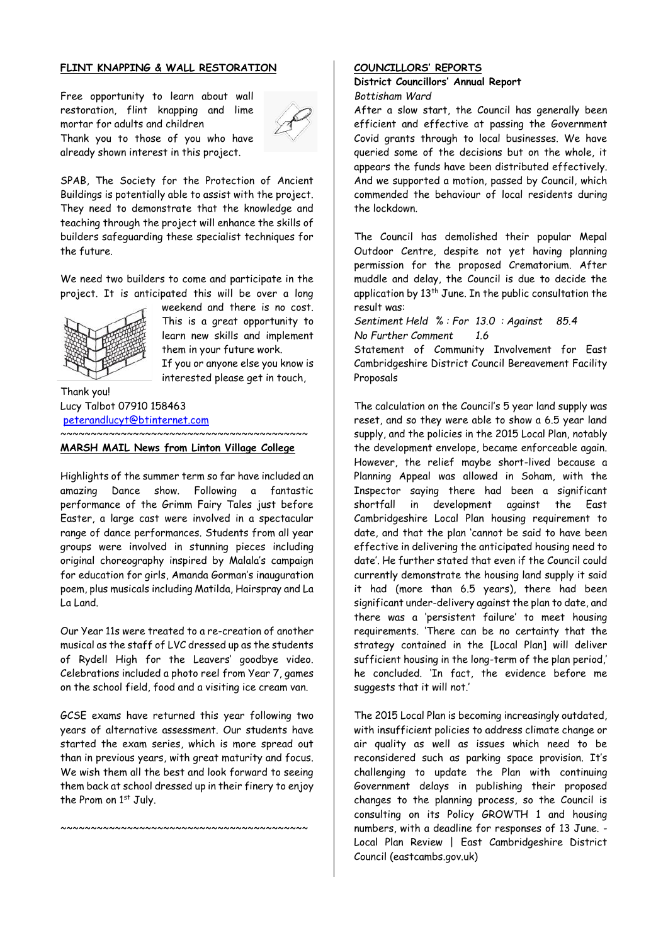# **FLINT KNAPPING & WALL RESTORATION**

Free opportunity to learn about wall restoration, flint knapping and lime mortar for adults and children Thank you to those of you who have already shown interest in this project.



SPAB, The Society for the Protection of Ancient Buildings is potentially able to assist with the project. They need to demonstrate that the knowledge and teaching through the project will enhance the skills of builders safeguarding these specialist techniques for the future.

We need two builders to come and participate in the project. It is anticipated this will be over a long



weekend and there is no cost. This is a great opportunity to learn new skills and implement them in your future work. If you or anyone else you know is interested please get in touch,

Thank you! Lucy Talbot 07910 158463 [peterandlucyt@btinternet.com](mailto:peterandlucyt@btinternet.com) ~~~~~~~~~~~~~~~~~~~~~~~~~~~~~~~~~~~~~~~~~

#### **MARSH MAIL News from Linton Village College**

Highlights of the summer term so far have included an amazing Dance show. Following a fantastic performance of the Grimm Fairy Tales just before Easter, a large cast were involved in a spectacular range of dance performances. Students from all year groups were involved in stunning pieces including original choreography inspired by Malala's campaign for education for girls, Amanda Gorman's inauguration poem, plus musicals including Matilda, Hairspray and La La Land.

Our Year 11s were treated to a re-creation of another musical as the staff of LVC dressed up as the students of Rydell High for the Leavers' goodbye video. Celebrations included a photo reel from Year 7, games on the school field, food and a visiting ice cream van.

GCSE exams have returned this year following two years of alternative assessment. Our students have started the exam series, which is more spread out than in previous years, with great maturity and focus. We wish them all the best and look forward to seeing them back at school dressed up in their finery to enjoy the Prom on 1st July.

~~~~~~~~~~~~~~~~~~~~~~~~~~~~~~~~~~~~~~~~~

### **COUNCILLORS' REPORTS**

#### **District Councillors' Annual Report**  *Bottisham Ward*

After a slow start, the Council has generally been efficient and effective at passing the Government Covid grants through to local businesses. We have queried some of the decisions but on the whole, it appears the funds have been distributed effectively. And we supported a motion, passed by Council, which commended the behaviour of local residents during the lockdown.

The Council has demolished their popular Mepal Outdoor Centre, despite not yet having planning permission for the proposed Crematorium. After muddle and delay, the Council is due to decide the application by  $13<sup>th</sup>$  June. In the public consultation the result was:

*Sentiment Held % : For 13.0 : Against 85.4 No Further Comment 1.6*

Statement of Community Involvement for East Cambridgeshire District Council Bereavement Facility Proposals

The calculation on the Council's 5 year land supply was reset, and so they were able to show a 6.5 year land supply, and the policies in the 2015 Local Plan, notably the development envelope, became enforceable again. However, the relief maybe short-lived because a Planning Appeal was allowed in Soham, with the Inspector saying there had been a significant shortfall in development against the East Cambridgeshire Local Plan housing requirement to date, and that the plan 'cannot be said to have been effective in delivering the anticipated housing need to date'. He further stated that even if the Council could currently demonstrate the housing land supply it said it had (more than 6.5 years), there had been significant under-delivery against the plan to date, and there was a 'persistent failure' to meet housing requirements. 'There can be no certainty that the strategy contained in the [Local Plan] will deliver sufficient housing in the long-term of the plan period,' he concluded. 'In fact, the evidence before me suggests that it will not.'

The 2015 Local Plan is becoming increasingly outdated, with insufficient policies to address climate change or air quality as well as issues which need to be reconsidered such as parking space provision. It's challenging to update the Plan with continuing Government delays in publishing their proposed changes to the planning process, so the Council is consulting on its Policy GROWTH 1 and housing numbers, with a deadline for responses of 13 June. - Local Plan Review | East Cambridgeshire District Council (eastcambs.gov.uk)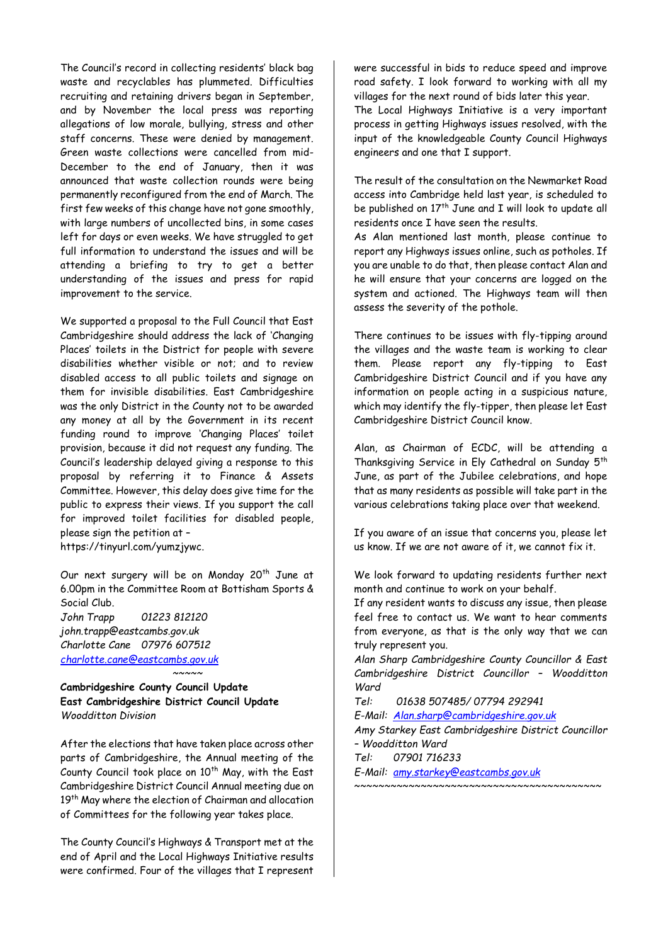The Council's record in collecting residents' black bag waste and recyclables has plummeted. Difficulties recruiting and retaining drivers began in September, and by November the local press was reporting allegations of low morale, bullying, stress and other staff concerns. These were denied by management. Green waste collections were cancelled from mid-December to the end of January, then it was announced that waste collection rounds were being permanently reconfigured from the end of March. The first few weeks of this change have not gone smoothly, with large numbers of uncollected bins, in some cases left for days or even weeks. We have struggled to get full information to understand the issues and will be attending a briefing to try to get a better understanding of the issues and press for rapid improvement to the service.

We supported a proposal to the Full Council that East Cambridgeshire should address the lack of 'Changing Places' toilets in the District for people with severe disabilities whether visible or not; and to review disabled access to all public toilets and signage on them for invisible disabilities. East Cambridgeshire was the only District in the County not to be awarded any money at all by the Government in its recent funding round to improve 'Changing Places' toilet provision, because it did not request any funding. The Council's leadership delayed giving a response to this proposal by referring it to Finance & Assets Committee. However, this delay does give time for the public to express their views. If you support the call for improved toilet facilities for disabled people, please sign the petition at – https://tinyurl.com/yumzjywc.

Our next surgery will be on Monday 20<sup>th</sup> June at 6.00pm in the Committee Room at Bottisham Sports & Social Club. *John Trapp 01223 812120 john.trapp@eastcambs.gov.uk Charlotte Cane 07976 607512 [charlotte.cane@eastcambs.gov.uk](mailto:charlotte.cane@eastcambs.gov.uk)*

**Cambridgeshire County Council Update East Cambridgeshire District Council Update** *Woodditton Division*

After the elections that have taken place across other parts of Cambridgeshire, the Annual meeting of the County Council took place on  $10<sup>th</sup>$  May, with the East Cambridgeshire District Council Annual meeting due on 19<sup>th</sup> May where the election of Chairman and allocation of Committees for the following year takes place.

*~~~~~*

The County Council's Highways & Transport met at the end of April and the Local Highways Initiative results were confirmed. Four of the villages that I represent

were successful in bids to reduce speed and improve road safety. I look forward to working with all my villages for the next round of bids later this year.

The Local Highways Initiative is a very important process in getting Highways issues resolved, with the input of the knowledgeable County Council Highways engineers and one that I support.

The result of the consultation on the Newmarket Road access into Cambridge held last year, is scheduled to be published on  $17<sup>th</sup>$  June and I will look to update all residents once I have seen the results.

As Alan mentioned last month, please continue to report any Highways issues online, such as potholes. If you are unable to do that, then please contact Alan and he will ensure that your concerns are logged on the system and actioned. The Highways team will then assess the severity of the pothole.

There continues to be issues with fly-tipping around the villages and the waste team is working to clear them. Please report any fly-tipping to East Cambridgeshire District Council and if you have any information on people acting in a suspicious nature, which may identify the fly-tipper, then please let East Cambridgeshire District Council know.

Alan, as Chairman of ECDC, will be attending a Thanksgiving Service in Ely Cathedral on Sunday 5th June, as part of the Jubilee celebrations, and hope that as many residents as possible will take part in the various celebrations taking place over that weekend.

If you aware of an issue that concerns you, please let us know. If we are not aware of it, we cannot fix it.

We look forward to updating residents further next month and continue to work on your behalf.

If any resident wants to discuss any issue, then please feel free to contact us. We want to hear comments from everyone, as that is the only way that we can truly represent you.

*Alan Sharp Cambridgeshire County Councillor & East Cambridgeshire District Councillor – Woodditton Ward*

*Tel: 01638 507485/ 07794 292941*

*E-Mail: [Alan.sharp@cambridgeshire.gov.uk](mailto:Alan.sharp@cambridgeshire.gov.uk)*

*Amy Starkey East Cambridgeshire District Councillor – Woodditton Ward*

~~~~~~~~~~~~~~~~~~~~~~~~~~~~~~~~~~~~~~~~~

*Tel: 07901 716233*

*E-Mail: [amy.starkey@eastcambs.gov.uk](mailto:amy.starkey@eastcambs.gov.uk)*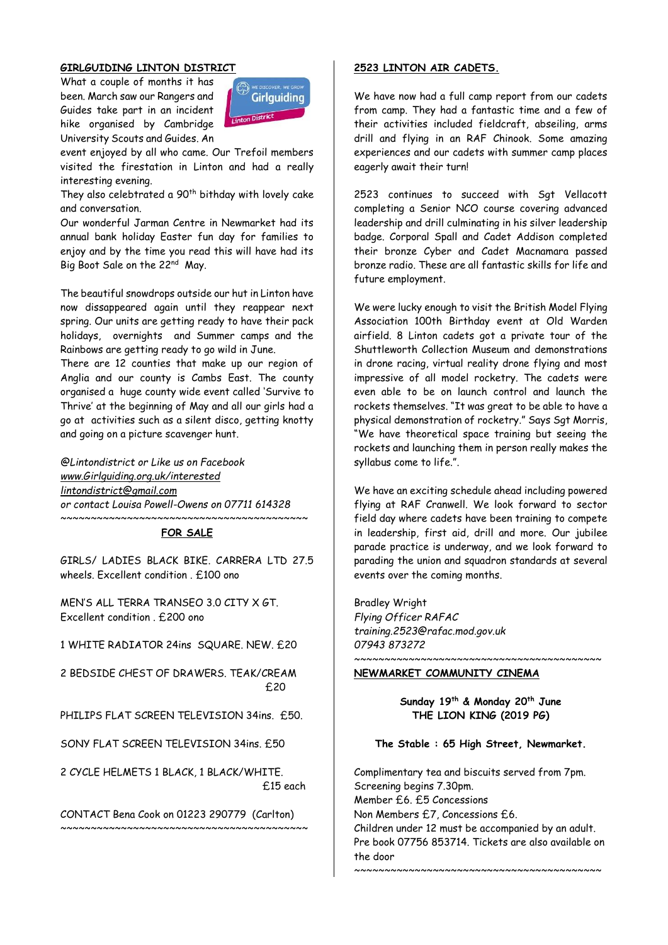# **GIRLGUIDING LINTON DISTRICT**

What a couple of months it has been. March saw our Rangers and Guides take part in an incident hike organised by Cambridge University Scouts and Guides. An



event enjoyed by all who came. Our Trefoil members visited the firestation in Linton and had a really interesting evening.

They also celebtrated a 90<sup>th</sup> bithday with lovely cake and conversation.

Our wonderful Jarman Centre in Newmarket had its annual bank holiday Easter fun day for families to enjoy and by the time you read this will have had its Big Boot Sale on the 22nd May.

The beautiful snowdrops outside our hut in Linton have now dissappeared again until they reappear next spring. Our units are getting ready to have their pack holidays, overnights and Summer camps and the Rainbows are getting ready to go wild in June.

There are 12 counties that make up our region of Anglia and our county is Cambs East. The county organised a huge county wide event called 'Survive to Thrive' at the beginning of May and all our girls had a go at activities such as a silent disco, getting knotty and going on a picture scavenger hunt.

*@Lintondistrict or Like us on Facebook [www.Girlguiding.org.uk/interested](http://www.girlguiding.org.uk/interested) [lintondistrict@gmail.com](mailto:lintondistrict@gmail.com) or contact Louisa Powell-Owens on 07711 614328* 

#### ~~~~~~~~~~~~~~~~~~~~~~~~~~~~~~~~~~~~~~~~~ **FOR SALE**

GIRLS/ LADIES BLACK BIKE. CARRERA LTD 27.5 wheels. Excellent condition . £100 ono

MEN'S ALL TERRA TRANSEO 3.0 CITY X GT. Excellent condition . £200 ono

1 WHITE RADIATOR 24ins SQUARE. NEW. £20

2 BEDSIDE CHEST OF DRAWERS. TEAK/CREAM £20

PHILIPS FLAT SCREEN TELEVISION 34ins. £50.

SONY FLAT SCREEN TELEVISION 34ins. £50

2 CYCLE HELMETS 1 BLACK, 1 BLACK/WHITE. £15 each

CONTACT Bena Cook on 01223 290779 (Carlton)  $~\sim$   $~\sim$   $~\sim$   $~\sim$   $~\sim$   $~\sim$   $~\sim$   $~\sim$   $~\sim$   $~\sim$   $~\sim$   $~\sim$   $~\sim$   $~\sim$   $~\sim$   $~\sim$   $~\sim$   $~\sim$   $~\sim$   $~\sim$   $~\sim$   $~\sim$   $~\sim$   $~\sim$   $~\sim$   $~\sim$   $~\sim$   $~\sim$   $~\sim$   $~\sim$   $~\sim$   $~\sim$   $~\sim$   $~\sim$   $~\sim$   $~\sim$   $~\sim$ 

#### **2523 LINTON AIR CADETS.**

We have now had a full camp report from our cadets from camp. They had a fantastic time and a few of their activities included fieldcraft, abseiling, arms drill and flying in an RAF Chinook. Some amazing experiences and our cadets with summer camp places eagerly await their turn!

2523 continues to succeed with Sgt Vellacott completing a Senior NCO course covering advanced leadership and drill culminating in his silver leadership badge. Corporal Spall and Cadet Addison completed their bronze Cyber and Cadet Macnamara passed bronze radio. These are all fantastic skills for life and future employment.

We were lucky enough to visit the British Model Flying Association 100th Birthday event at Old Warden airfield. 8 Linton cadets got a private tour of the Shuttleworth Collection Museum and demonstrations in drone racing, virtual reality drone flying and most impressive of all model rocketry. The cadets were even able to be on launch control and launch the rockets themselves. "It was great to be able to have a physical demonstration of rocketry." Says Sgt Morris, "We have theoretical space training but seeing the rockets and launching them in person really makes the syllabus come to life.".

We have an exciting schedule ahead including powered flying at RAF Cranwell. We look forward to sector field day where cadets have been training to compete in leadership, first aid, drill and more. Our jubilee parade practice is underway, and we look forward to parading the union and squadron standards at several events over the coming months.

Bradley Wright *Flying Officer RAFAC training.2523@rafac.mod.gov.uk 07943 873272*

#### **NEWMARKET COMMUNITY CINEMA**

**Sunday 19th & Monday 20th June THE LION KING (2019 PG)**

~~~~~~~~~~~~~~~~~~

**The Stable : 65 High Street, Newmarket.**

Complimentary tea and biscuits served from 7pm. Screening begins 7.30pm. Member £6. £5 Concessions Non Members £7, Concessions £6. Children under 12 must be accompanied by an adult. Pre book 07756 853714. Tickets are also available on the door ~~~~~~~~~~~~~~~~~~~~~~~~~~~~~~~~~~~~~~~~~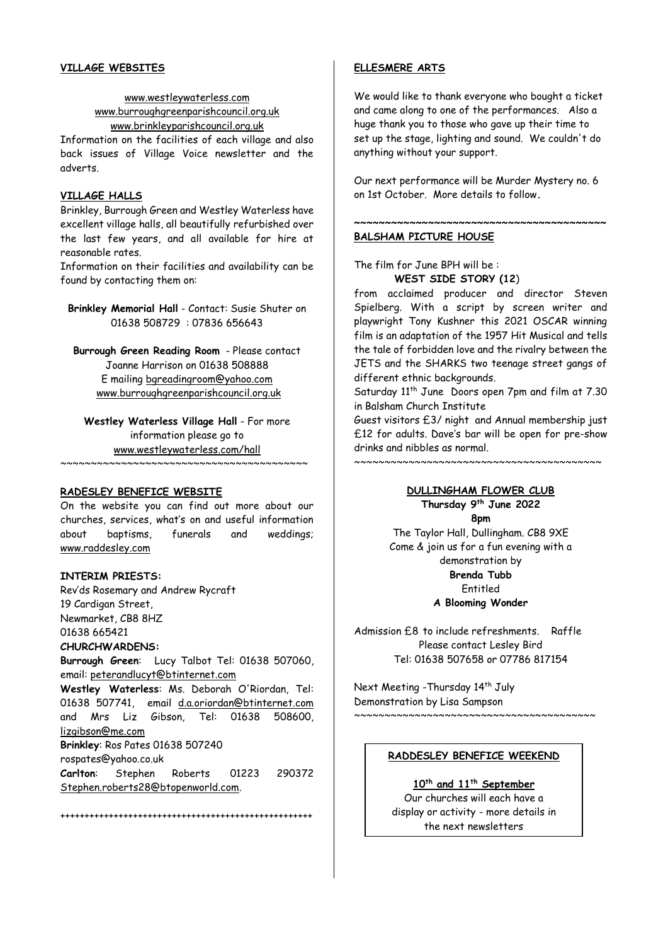### **VILLAGE WEBSITES**

# [www.westleywaterless.com](http://www.westleywaterless.com/) [www.burroughgreenparishcouncil.org.uk](http://www.burroughgreenparishcouncil.org.uk/) www[.brinkleyparishcouncil.org.uk](http://brinkleyparishcouncil.org.uk/)

Information on the facilities of each village and also back issues of Village Voice newsletter and the adverts.

# **VILLAGE HALLS**

Brinkley, Burrough Green and Westley Waterless have excellent village halls, all beautifully refurbished over the last few years, and all available for hire at reasonable rates.

Information on their facilities and availability can be found by contacting them on:

**Brinkley Memorial Hall** - Contact: Susie Shuter on 01638 508729 : 07836 656643

**Burrough Green Reading Room** - Please contact Joanne Harrison on 01638 508888 E mailing [bgreadingroom@yahoo.com](mailto:bgreadingroom@yahoo.com) [www.burroughgreenparishcouncil.org.uk](http://www.burroughgreenparishcouncil.org.uk/)

**Westley Waterless Village Hall** - For more information please go to [www.westleywaterless.com/hall](http://www.westleywaterless.com/hall) ~~~~~~~~~~~~~~~~~~~~~~~~~~~~~~~~~~~~~~~~~

#### **RADESLEY BENEFICE WEBSITE**

On the website you can find out more about our churches, services, what's on and useful information about baptisms, funerals and weddings; [www.raddesley.com](http://www.raddesley.com/)

#### **INTERIM PRIESTS:**

Rev'ds Rosemary and Andrew Rycraft 19 Cardigan Street, Newmarket, CB8 8HZ 01638 665421 **CHURCHWARDENS: Burrough Green**: Lucy Talbot Tel: [01638 507060,](tel:01638%20507060) email: [peterandlucyt@btinternet.com](mailto:peterandlucyt@btinternet.com)

**Westley Waterless**: Ms. Deborah O'Riordan, Tel: [01638 507741,](tel:01638%20507741) email [d.a.oriordan@btinternet.com](mailto:d.a.oriordan@btinternet.com) and Mrs Liz Gibson, Tel: 01638 508600, [lizgibson@me.com](mailto:lizgibson@me.com) **Brinkley**: Ros Pates 01638 507240 rospates@yahoo.co.uk **Carlton**: Stephen Roberts 01223 290372

++++++++++++++++++++++++++++++++++++++++++++++++++++

[Stephen.roberts28@btopenworld.com.](mailto:Stephen.roberts28@btopenworld.com)

**ELLESMERE ARTS**

We would like to thank everyone who bought a ticket and came along to one of the performances. Also a huge thank you to those who gave up their time to set up the stage, lighting and sound. We couldn't do anything without your support.

Our next performance will be Murder Mystery no. 6 on 1st October. More details to follow**.**

**~~~~~~~~~~~~~~~~~~~~~~~~~~~~~~~~~~~~~~~~~**

#### **BALSHAM PICTURE HOUSE**

The film for June BPH will be : **WEST SIDE STORY (12**)

from acclaimed producer and director Steven Spielberg. With a script by screen writer and playwright Tony Kushner this 2021 OSCAR winning film is an adaptation of the 1957 Hit Musical and tells the tale of forbidden love and the rivalry between the JETS and the SHARKS two teenage street gangs of different ethnic backgrounds.

Saturday 11<sup>th</sup> June Doors open 7pm and film at 7.30 in Balsham Church Institute

Guest visitors £3/ night and Annual membership just £12 for adults. Dave's bar will be open for pre-show drinks and nibbles as normal.

 $~\sim$   $~\sim$   $~\sim$   $~\sim$   $~\sim$   $~\sim$   $~\sim$   $~\sim$   $~\sim$   $~\sim$   $~\sim$   $~\sim$   $~\sim$   $~\sim$   $~\sim$   $~\sim$   $~\sim$   $~\sim$   $~\sim$   $~\sim$   $~\sim$   $~\sim$   $~\sim$   $~\sim$   $~\sim$   $~\sim$   $~\sim$   $~\sim$   $~\sim$   $~\sim$   $~\sim$   $~\sim$   $~\sim$   $~\sim$   $~\sim$   $~\sim$   $~\sim$ 

# **DULLINGHAM FLOWER CLUB**

**Thursday 9 th June 2022 8pm** The Taylor Hall, Dullingham. CB8 9XE Come & join us for a fun evening with a demonstration by **Brenda Tubb** Entitled

**A Blooming Wonder**

Admission £8 to include refreshments. Raffle Please contact Lesley Bird Tel: 01638 507658 or 07786 817154

Next Meeting - Thursday 14<sup>th</sup> July Demonstration by Lisa Sampson

#### **RADDESLEY BENEFICE WEEKEND**

 $~\cdots$  .

# **10th and 11th September**

Our churches will each have a display or activity - more details in the next newsletters